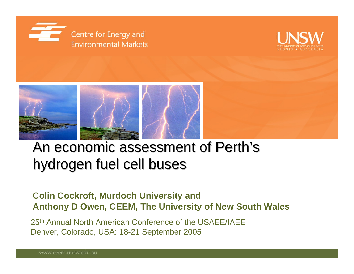





## An economic assessment of Perth's hydrogen fuel cell buses

#### **Colin Cockroft, Murdoch University and Anthony D Owen, CEEM, The University of New South Wales**

25th Annual North American Conference of the USAEE/IAEEDenver, Colorado, USA: 18-21 September 2005

www.ceem.unsw.edu.au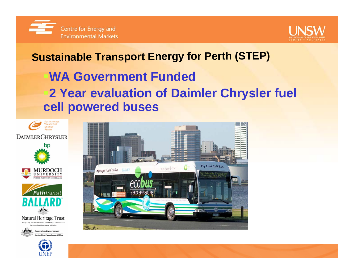



#### **Sustainable Transport Energy for Perth (STEP)**

### **WA Government Funded2 Year evaluation of Daimler Chrysler fuel cell powered buses**











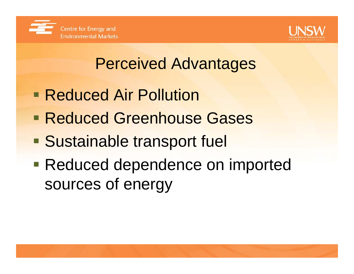



# Perceived Advantages

- **Reduced Air Pollution**
- en<br>1970 **Reduced Greenhouse Gases**
- **Sustainable transport fuel**
- **Reduced dependence on imported** sources of energy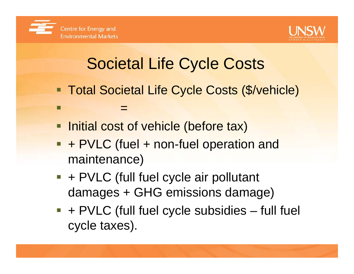

П



# Societal Life Cycle Costs

- **Total Societal Life Cycle Costs (\$/vehicle)**
- **Initial cost of vehicle (before tax)**

=

- **+ PVLC (fuel + non-fuel operation and** maintenance)
- $\blacksquare$  + PVLC (full fuel cycle air pollutant damages + GHG emissions damage)
- $\blacksquare$  + PVLC (full fuel cycle subsidies full fuel cycle taxes).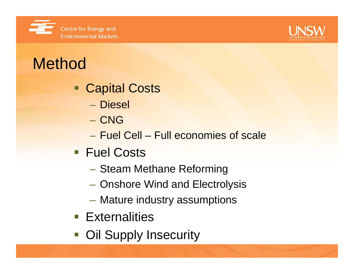



# Method

- Capital Costs
	- Diesel
	- CNG
	- Fuel Cell Full economies of scale
- **Fuel Costs** 
	- $\mathcal{L}_{\mathcal{A}}$ – Steam Methane Reforming
	- $\mathcal{L}_{\mathcal{A}}$ Onshore Wind and Electrolysis
	- $\mathcal{L}_{\mathcal{A}}$ Mature industry assumptions
- **Externalities**
- Oil Supply Insecurity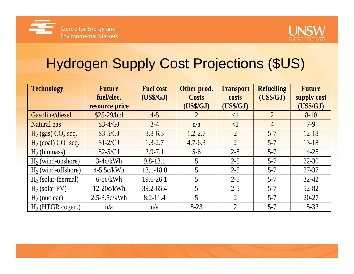



## Hydrogen Supply Cost Projections (\$US)

| <b>Technology</b>        | <b>Future</b>                | <b>Fuel cost</b> | Other prod.               | <b>Transport</b>   | <b>Refuelling</b> | <b>Future</b>            |
|--------------------------|------------------------------|------------------|---------------------------|--------------------|-------------------|--------------------------|
|                          | fuel/elec.<br>resource price | (US\$/GJ)        | <b>Costs</b><br>(US\$/GJ) | costs<br>(US\$/GJ) | (US\$/GJ)         | supply cost<br>(US\$/GJ) |
| Gasoline/diesel          | $$25-29/bbl$                 | $4 - 5$          | $\overline{2}$            | $\leq$             | $\overline{2}$    | $8 - 10$                 |
| Natural gas              | $$3-4/GJ$                    | $3-4$            | n/a                       | $\leq$ 1           | $\overline{4}$    | $7-9$                    |
| $H_2$ (gas) $CO_2$ seq.  | $$3-5/GJ$                    | $3.8 - 6.3$      | $1.2 - 2.7$               | $\overline{2}$     | $5 - 7$           | $12 - 18$                |
| $H_2$ (coal) $CO_2$ seq. | $$1-2/GJ$                    | $1.3 - 2.7$      | $4.7 - 6.3$               | $\overline{2}$     | $5 - 7$           | $13-18$                  |
| $H2$ (biomass)           | $$2-5/GJ$                    | $2.9 - 7.1$      | $5-6$                     | $2 - 5$            | $5 - 7$           | $14 - 25$                |
| $H_2$ (wind-onshore)     | $3-4c/kWh$                   | $9.8 - 13.1$     | 5                         | $2 - 5$            | $5 - 7$           | $22 - 30$                |
| $H_2$ (wind-offshore)    | $4-5.5c/kWh$                 | $13.1 - 18.0$    | 5                         | $2 - 5$            | $5 - 7$           | 27-37                    |
| $H_2$ (solar-thermal)    | $6-8c/kWh$                   | 19.6-26.1        | 5                         | $2 - 5$            | $5 - 7$           | $32 - 42$                |
| $H2$ (solar PV)          | $12-20c/kWh$                 | 39.2-65.4        | 5                         | $2 - 5$            | $5 - 7$           | 52-82                    |
| $H_2$ (nuclear)          | $2.5 - 3.5c/kWh$             | $8.2 - 11.4$     | 5                         | $\overline{2}$     | $5 - 7$           | $20 - 27$                |
| $H2$ (HTGR cogen.)       | n/a                          | n/a              | $8-23$                    | $\overline{2}$     | $5 - 7$           | $15 - 32$                |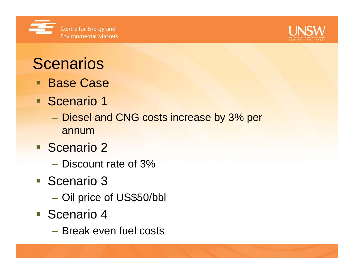



## **Scenarios**

- Base Case
- Scenario 1
	- Diesel and CNG costs increase by 3% per annum
- **Scenario 2** 
	- Discount rate of 3%
- **Scenario 3** 
	- $\mathcal{L}_{\mathcal{A}}$ Oil price of US\$50/bbl
- **Scenario 4** 
	- Break even fuel costs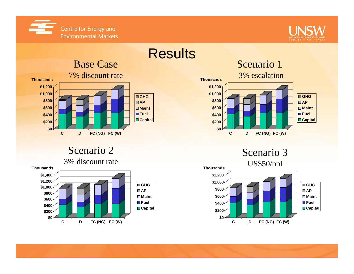



#### **Results \$0 \$200 \$400 \$600 \$800 \$1,000 \$1,200 ThousandsC D FC (NG) FC (W) GHGAPMaintFuelCapital** Base Case 7% discount rate

#### Scenario 2







Scenario 3